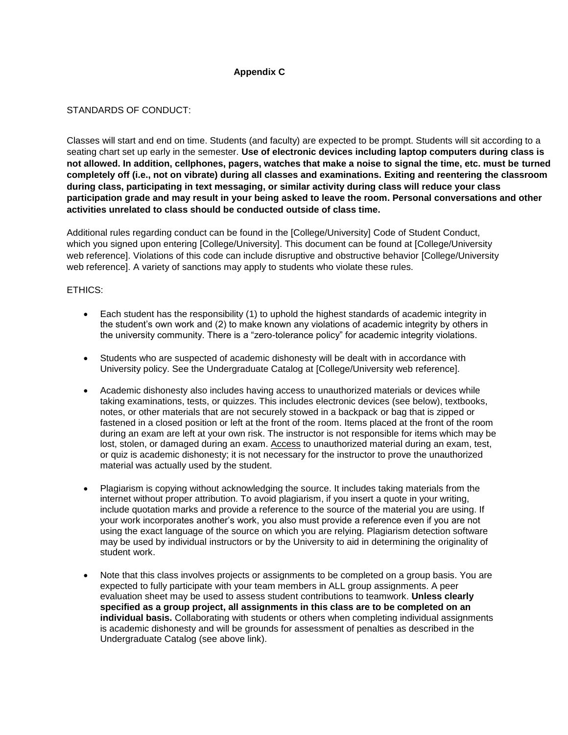## **Appendix C**

## STANDARDS OF CONDUCT:

Classes will start and end on time. Students (and faculty) are expected to be prompt. Students will sit according to a seating chart set up early in the semester. **Use of electronic devices including laptop computers during class is not allowed. In addition, cellphones, pagers, watches that make a noise to signal the time, etc. must be turned completely off (i.e., not on vibrate) during all classes and examinations. Exiting and reentering the classroom during class, participating in text messaging, or similar activity during class will reduce your class participation grade and may result in your being asked to leave the room. Personal conversations and other activities unrelated to class should be conducted outside of class time.**

Additional rules regarding conduct can be found in the [College/University] Code of Student Conduct, which you signed upon entering [College/University]. This document can be found at [College/University web reference]. Violations of this code can include disruptive and obstructive behavior [College/University web reference]. A variety of sanctions may apply to students who violate these rules.

## ETHICS:

- Each student has the responsibility (1) to uphold the highest standards of academic integrity in the student's own work and (2) to make known any violations of academic integrity by others in the university community. There is a "zero-tolerance policy" for academic integrity violations.
- Students who are suspected of academic dishonesty will be dealt with in accordance with University policy. See the Undergraduate Catalog at [College/University web reference].
- Academic dishonesty also includes having access to unauthorized materials or devices while taking examinations, tests, or quizzes. This includes electronic devices (see below), textbooks, notes, or other materials that are not securely stowed in a backpack or bag that is zipped or fastened in a closed position or left at the front of the room. Items placed at the front of the room during an exam are left at your own risk. The instructor is not responsible for items which may be lost, stolen, or damaged during an exam. Access to unauthorized material during an exam, test, or quiz is academic dishonesty; it is not necessary for the instructor to prove the unauthorized material was actually used by the student.
- Plagiarism is copying without acknowledging the source. It includes taking materials from the internet without proper attribution. To avoid plagiarism, if you insert a quote in your writing, include quotation marks and provide a reference to the source of the material you are using. If your work incorporates another's work, you also must provide a reference even if you are not using the exact language of the source on which you are relying. Plagiarism detection software may be used by individual instructors or by the University to aid in determining the originality of student work.
- Note that this class involves projects or assignments to be completed on a group basis. You are expected to fully participate with your team members in ALL group assignments. A peer evaluation sheet may be used to assess student contributions to teamwork. **Unless clearly specified as a group project, all assignments in this class are to be completed on an individual basis.** Collaborating with students or others when completing individual assignments is academic dishonesty and will be grounds for assessment of penalties as described in the Undergraduate Catalog (see above link).